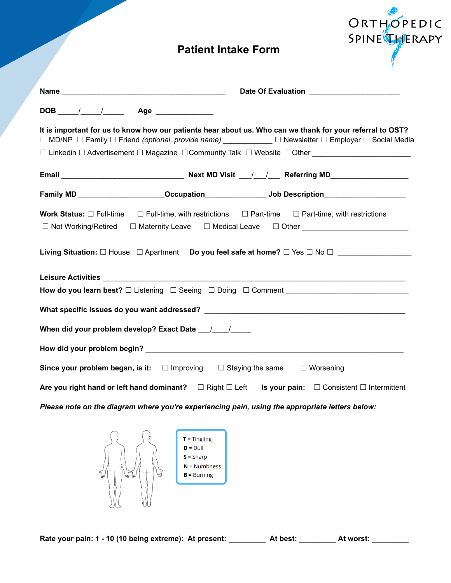# **Patient Intake Form**

ORTHOPEDIC<br>SPINEL

| It is important for us to know how our patients hear about us. Who can we thank for your referral to OST?<br>$\Box$ MD/NP $\Box$ Family $\Box$ Friend (optional, provide name) $\Box$ Newsletter $\Box$ Employer $\Box$ Social Media<br>□ Linkedin □ Advertisement □ Magazine □ Community Talk □ Website □ Other _________________________    |  |  |  |  |
|-----------------------------------------------------------------------------------------------------------------------------------------------------------------------------------------------------------------------------------------------------------------------------------------------------------------------------------------------|--|--|--|--|
|                                                                                                                                                                                                                                                                                                                                               |  |  |  |  |
| Family MD _______________________Occupation____________________________bob Description_______________________                                                                                                                                                                                                                                 |  |  |  |  |
| <b>Work Status:</b> $\Box$ Full-time $\Box$ Full-time, with restrictions $\Box$ Part-time $\Box$ Part-time, with restrictions<br>□ Not Working/Retired □ Maternity Leave □ Medical Leave □ Other _______________________<br>Living Situation: $\square$ House $\Box$ Apartment Do you feel safe at home? $\square$ Yes $\square$ No $\square$ |  |  |  |  |
|                                                                                                                                                                                                                                                                                                                                               |  |  |  |  |
| How do you learn best? □ Listening □ Seeing □ Doing □ Comment <b>National Comment</b> National Action Distance Distance                                                                                                                                                                                                                       |  |  |  |  |
|                                                                                                                                                                                                                                                                                                                                               |  |  |  |  |
| When did your problem develop? Exact Date 1.1.1.                                                                                                                                                                                                                                                                                              |  |  |  |  |
|                                                                                                                                                                                                                                                                                                                                               |  |  |  |  |
| Since your problem began, is it: $\square$ Improving $\square$ Staying the same $\square$ Worsening                                                                                                                                                                                                                                           |  |  |  |  |
| Are you right hand or left hand dominant? $\square$ Right $\square$ Left Is your pain: $\square$ Consistent $\square$ Intermittent                                                                                                                                                                                                            |  |  |  |  |
| Please note on the diagram where you're experiencing pain, using the appropriate letters below:                                                                                                                                                                                                                                               |  |  |  |  |



**Rate your pain: 1 - 10 (10 being extreme): At present:** \_\_\_\_\_\_\_\_\_ **At best:** \_\_\_\_\_\_\_\_\_ **At worst:** \_\_\_\_\_\_\_\_\_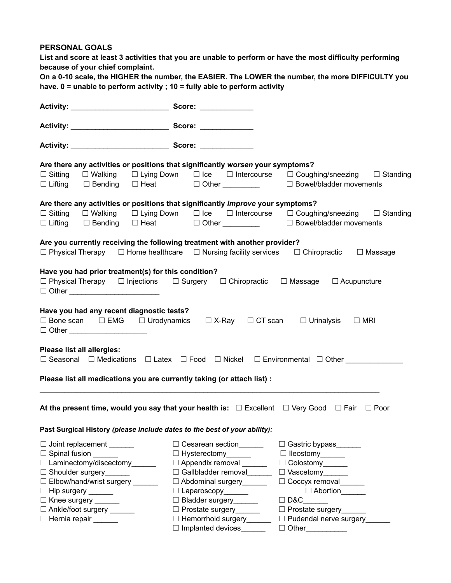#### **PERSONAL GOALS**

List and score at least 3 activities that you are unable to perform or have the most difficulty performing **because of your chief complaint.**

| On a 0-10 scale, the HIGHER the number, the EASIER. The LOWER the number, the more DIFFICULTY you |
|---------------------------------------------------------------------------------------------------|
| have. $0 =$ unable to perform activity ; 10 = fully able to perform activity                      |

|                                                                                                                                                                                             | Are there any activities or positions that significantly worsen your symptoms?                                                                                                                                                                                |  |  |  |  |  |
|---------------------------------------------------------------------------------------------------------------------------------------------------------------------------------------------|---------------------------------------------------------------------------------------------------------------------------------------------------------------------------------------------------------------------------------------------------------------|--|--|--|--|--|
|                                                                                                                                                                                             | $\square$ Sitting $\square$ Walking $\square$ Lying Down $\square$ Ice $\square$ Intercourse $\square$ Coughing/sneezing $\square$ Standing<br>$\square$ Lifting $\square$ Bending $\square$ Heat $\square$ Other $\square$ $\square$ Bowel/bladder movements |  |  |  |  |  |
|                                                                                                                                                                                             | Are there any activities or positions that significantly improve your symptoms?                                                                                                                                                                               |  |  |  |  |  |
| $\Box$ Lifting $\Box$ Bending $\Box$ Heat $\Box$ Other _________                                                                                                                            | $\square$ Sitting $\square$ Walking $\square$ Lying Down $\square$ Ice $\square$ Intercourse $\square$ Coughing/sneezing $\square$ Standing<br>$\Box$ Bowel/bladder movements                                                                                 |  |  |  |  |  |
|                                                                                                                                                                                             | Are you currently receiving the following treatment with another provider?<br>$\Box$ Physical Therapy $\Box$ Home healthcare $\Box$ Nursing facility services $\Box$ Chiropractic $\Box$ Massage                                                              |  |  |  |  |  |
| Have you had prior treatment(s) for this condition?<br>$\Box$ Physical Therapy $\Box$ Injections $\Box$ Surgery $\Box$ Chiropractic $\Box$ Massage $\Box$ Acupuncture                       |                                                                                                                                                                                                                                                               |  |  |  |  |  |
| Have you had any recent diagnostic tests?<br>$\Box$ Bone scan $\Box$ EMG $\Box$ Urodynamics $\Box$ X-Ray $\Box$ CT scan $\Box$ Urinalysis $\Box$ MRI<br>$\Box$ Other ______________________ |                                                                                                                                                                                                                                                               |  |  |  |  |  |
| Please list all allergies:<br>□ Seasonal □ Medications □ Latex □ Food □ Nickel □ Environmental □ Other _______                                                                              |                                                                                                                                                                                                                                                               |  |  |  |  |  |
| Please list all medications you are currently taking (or attach list) :                                                                                                                     |                                                                                                                                                                                                                                                               |  |  |  |  |  |
| At the present time, would you say that your health is: $\Box$ Excellent $\Box$ Very Good $\Box$ Fair $\Box$ Poor                                                                           |                                                                                                                                                                                                                                                               |  |  |  |  |  |
| Past Surgical History (please include dates to the best of your ability):                                                                                                                   |                                                                                                                                                                                                                                                               |  |  |  |  |  |
| $\Box$ Joint replacement _______                                                                                                                                                            | $\Box$ Cesarean section<br>□ Gastric bypass______                                                                                                                                                                                                             |  |  |  |  |  |
| $\Box$ Spinal fusion $\_\_\_\_\_\_\_\$                                                                                                                                                      | □ Hysterectomy______<br>□ Ileostomy______                                                                                                                                                                                                                     |  |  |  |  |  |
| $\Box$ Laminectomy/discectomy                                                                                                                                                               | $\Box$ Appendix removal<br>$\Box$ Colostomy                                                                                                                                                                                                                   |  |  |  |  |  |
| □ Shoulder surgery______                                                                                                                                                                    | □ Gallbladder removal<br>$\Box$ Vascetomy                                                                                                                                                                                                                     |  |  |  |  |  |
| □ Elbow/hand/wrist surgery ______                                                                                                                                                           | □ Abdominal surgery<br>$\Box$ Coccyx removal                                                                                                                                                                                                                  |  |  |  |  |  |
| $\Box$ Hip surgery _______<br>□ Knee surgery ______                                                                                                                                         | Abortion<br>$\Box$ Laparoscopy_______<br>□ Bladder surgery______<br>$\Box$ D&C                                                                                                                                                                                |  |  |  |  |  |
| □ Ankle/foot surgery ______                                                                                                                                                                 | □ Prostate surgery<br>□ Prostate surgery______                                                                                                                                                                                                                |  |  |  |  |  |
| $\Box$ Hernia repair $\_\_\_\_\_\_\_\_\_\$                                                                                                                                                  | $\Box$ Hemorrhoid surgery<br>D Pudendal nerve surgery______                                                                                                                                                                                                   |  |  |  |  |  |
|                                                                                                                                                                                             | $\Box$ Implanted devices<br>$\Box$ Other                                                                                                                                                                                                                      |  |  |  |  |  |